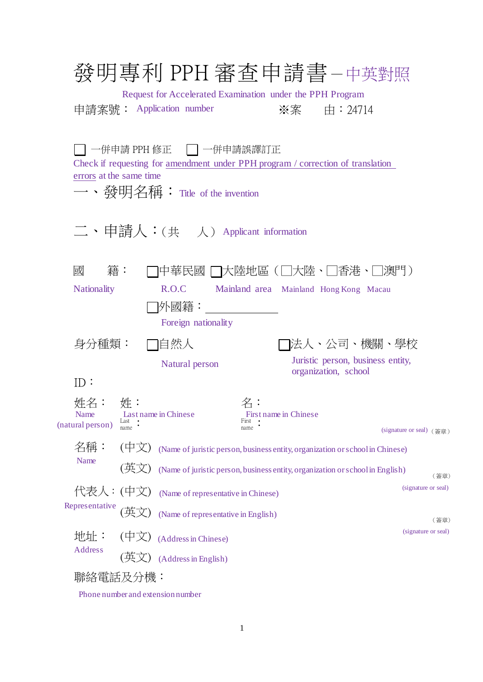|                                 |                   | 發明專利 PPH 審查申請書 –中英對照<br>Request for Accelerated Examination under the PPH Program<br>申請案號: Application number                                                  |                     |                       | ※案  由:24714                                                               |                             |
|---------------------------------|-------------------|----------------------------------------------------------------------------------------------------------------------------------------------------------------|---------------------|-----------------------|---------------------------------------------------------------------------|-----------------------------|
| errors at the same time         |                   | │一併申請 PPH 修正  ┃┃ 一併申請誤譯訂正<br>Check if requesting for amendment under PPH program / correction of translation<br>一、發明名稱: Title of the invention                 |                     |                       |                                                                           |                             |
|                                 |                   | 二、申請人:(共 人) Applicant information                                                                                                                              |                     |                       |                                                                           |                             |
| 國<br><b>Nationality</b>         | 籍:                | 中華民國 □大陸地區(□大陸・□香港・□澳門)<br>R.O.C<br> 外國籍:<br>Foreign nationality                                                                                               |                     |                       | Mainland area Mainland Hong Kong Macau                                    |                             |
| 身分種類:<br>ID:                    |                   | □自然人<br>Natural person                                                                                                                                         |                     |                       | ヿ法人、公司、機關、學校<br>Juristic person, business entity,<br>organization, school |                             |
| 姓名:<br>Name<br>(natural person) | 姓<br>Last<br>name | Last name in Chinese                                                                                                                                           | 名:<br>First<br>name | First name in Chinese |                                                                           | (signature or seal) (簽章)    |
| 名稱:<br>Name                     | (中文)<br>(英文)      | (Name of juristic person, business entity, organization or school in Chinese)<br>(Name of juristic person, business entity, organization or school in English) |                     |                       |                                                                           | (簽章)                        |
| 代表人:(中文)<br>Representative      |                   | (Name of representative in Chinese)<br>(Name of representative in English)                                                                                     |                     |                       |                                                                           | (signature or seal)         |
| 地址:<br>Address                  | (中文)<br>英         | (Address in Chinese)<br>(Address in English)                                                                                                                   |                     |                       |                                                                           | (簽章)<br>(signature or seal) |
| 聯絡電話及分機:                        |                   |                                                                                                                                                                |                     |                       |                                                                           |                             |

Phone number and extension number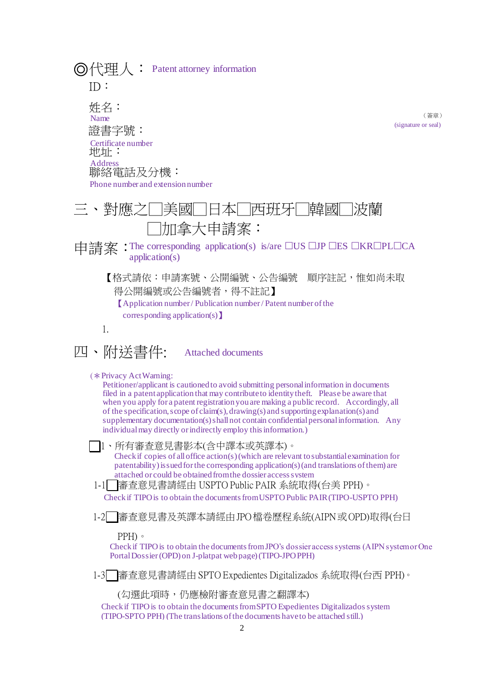$\textcircled{o}$ 代理人:Patent attorney information ID: 姓名: 證書字號: 地址: 聯絡電話及分機: ●對應之□美國□日本□西班牙□韓國 □加拿大申請案: Name Certificate number Address Phone number and extension number

(簽章) (signature or seal)

中請案: The corresponding application(s) is/are □US □JP □ES □KR□PL□CA application(s)

【格式請依:申請案號、公開編號、公告編號 順序註記,惟如尚未取 得公開編號或公告編號者,得不註記】 【Application number / Publication number/ Patent number of the corresponding application(s)】

1.

四、附送書件: Attached documents

(✽Privacy Act Warning:

Petitioner/applicant is cautioned to avoid submitting personal information in documents filed in a patent application that may contribute to identity theft. Please be aware that when you apply for a patent registration you are making a public record. Accordingly, all of the specification, scope of claim(s), drawing(s) and supporting explanation(s) and supplementary documentation(s) shall not contain confidential personal information. Any individual may directly or indirectly employ this information.)

 1、所有審查意見書影本(含中譯本或英譯本)。 Check if copies of all office action(s) (which are relevant to substantial examination for patentability) issued for the corresponding application(s) (and translations of them) are attached or could be obtained from the dossier access system

Check if TIPO is to obtain the documents from USPTO Public PAIR (TIPO-USPTO PPH) 1-1 審查意見書請經由 USPTO Public PAIR 系統取得(台美 PPH)。

1-2 審查意見書及英譯本請經由JPO檔卷歷程系統(AIPN或OPD)取得(台日

PPH)。

Check if TIPO is to obtain the documents from JPO's dossier access systems (AIPN system or One Portal Dossier (OPD) on J-platpat web page)(TIPO-JPO PPH)

1-3 審查意見書請經由 SPTO Expedientes Digitalizados 系統取得(台西 PPH)。

(勾選此項時,仍應檢附審查意見書之翻譯本)

Check if TIPO is to obtain the documents from SPTO Expedientes Digitalizados system (TIPO-SPTO PPH) (The translations of the documents have to be attached still.)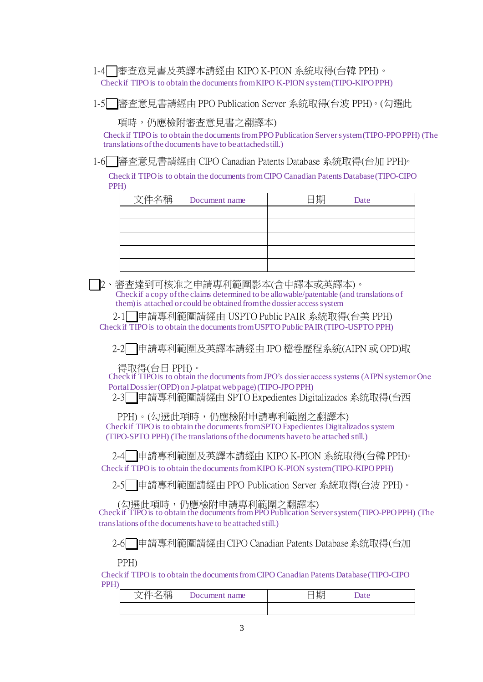Check if TIPO is to obtain the documents from KIPO K-PION system (TIPO-KIPO PPH) 1-4 審查意見書及英譯本請經由 KIPO K-PION 系統取得(台韓 PPH)。

1-5 審查意見書請經由 PPO Publication Server 系統取得(台波 PPH)。(勾選此

項時,仍應檢附審查意見書之翻譯本)

Check if TIPO is to obtain the documents from PPO Publication Server system (TIPO-PPO PPH) (The translations of the documents have to be attached still.)

1-6 審查意見書請經由 CIPO Canadian Patents Database 系統取得(台加 PPH)。

Check if TIPO is to obtain the documents from CIPO Canadian Patents Database(TIPO-CIPO PPH)

| 文件名稱 Document name | 期日 | Date |
|--------------------|----|------|
|                    |    |      |
|                    |    |      |
|                    |    |      |
|                    |    |      |
|                    |    |      |

 2、審查達到可核准之申請專利範圍影本(含中譯本或英譯本)。 Check if a copy of the claims determined to be allowable/patentable (and translations of them) is attached or could be obtained from the dossier access system

Check if TIPO is to obtain the documents from USPTO Public PAIR (TIPO-USPTO PPH) 2-1 ■ 申請專利範圍請經由 USPTO Public PAIR 系統取得(台美 PPH)

2-2 申請專利範圍及英譯本請經由 JPO 檔卷歷程系統(AIPN 或 OPD)取

得取得(台日 PPH)。

Check if TIPO is to obtain the documents fromJPO's dossier access systems (AIPN system or One PortalDossier (OPD) on J-platpat web page)(TIPO-JPO PPH)

2-3 申請專利範圍請經由 SPTO Expedientes Digitalizados 系統取得(台西

Check if TIPO is to obtain the documents from SPTO Expedientes Digitalizados system (TIPO-SPTO PPH) (The translations of the documents have to be attached still.) PPH)。(勾選此項時,仍應檢附申請專利範圍之翻譯本)

Check if TIPO is to obtain the documents from KIPO K-PION system (TIPO-KIPO PPH) 2-4 申請專利範圍及英譯本請經由 KIPO K-PION 系統取得(台韓 PPH)。

2-5 申請專利範圍請經由 PPO Publication Server 系統取得(台波 PPH)。

Check if TIPO is to obtain the documents from PPOPublication Serversystem (TIPO-PPO PPH) (The translations of the documents have to be attached still.) (勾選此項時,仍應檢附申請專利範圍之翻譯本)

2-6 申請專利範圍請經由CIPO Canadian Patents Database系統取得(台加

PPH)

Check if TIPO is to obtain the documents from CIPO Canadian Patents Database(TIPO-CIPO PPH)

| $\overline{\phantom{a}}$<br>ъ<br>. | name | $1.5 -$<br>…⊢<br>$\overline{77}$ |  |
|------------------------------------|------|----------------------------------|--|
|                                    |      |                                  |  |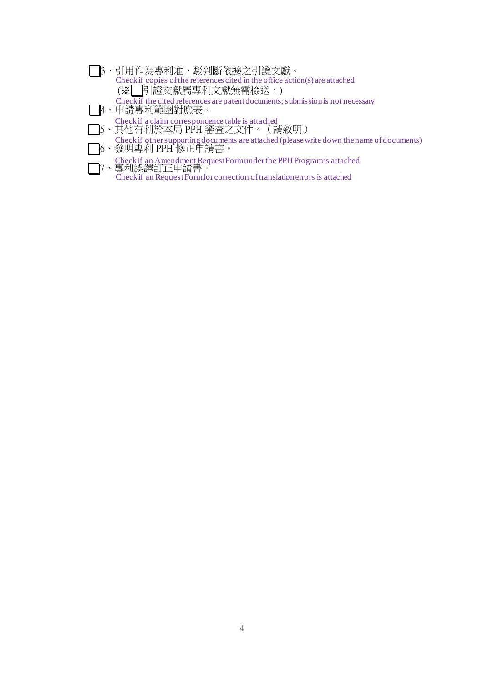- Check if copies of the references cited in the office action(s) are attached Check if the cited references are patent documents; submission is not necessary Check if a claim correspondence table is attached Check if other supporting documents are attached (please write down the name of documents) 3、引用作為專利准、駁判斷依據之引證文獻。 (※ 引證文獻屬專利文獻無需檢送。) 4、申請專利範圍對應表。 5、其他有利於本局 PPH 審查之文件。(請敘明)
- Check if an Amendment Request Form under the PPH Program is attached Check if an Request Form for correction of translation errors is attached 6、發明專利 PPH 修正申請書。 7、專利誤譯訂正申請書。